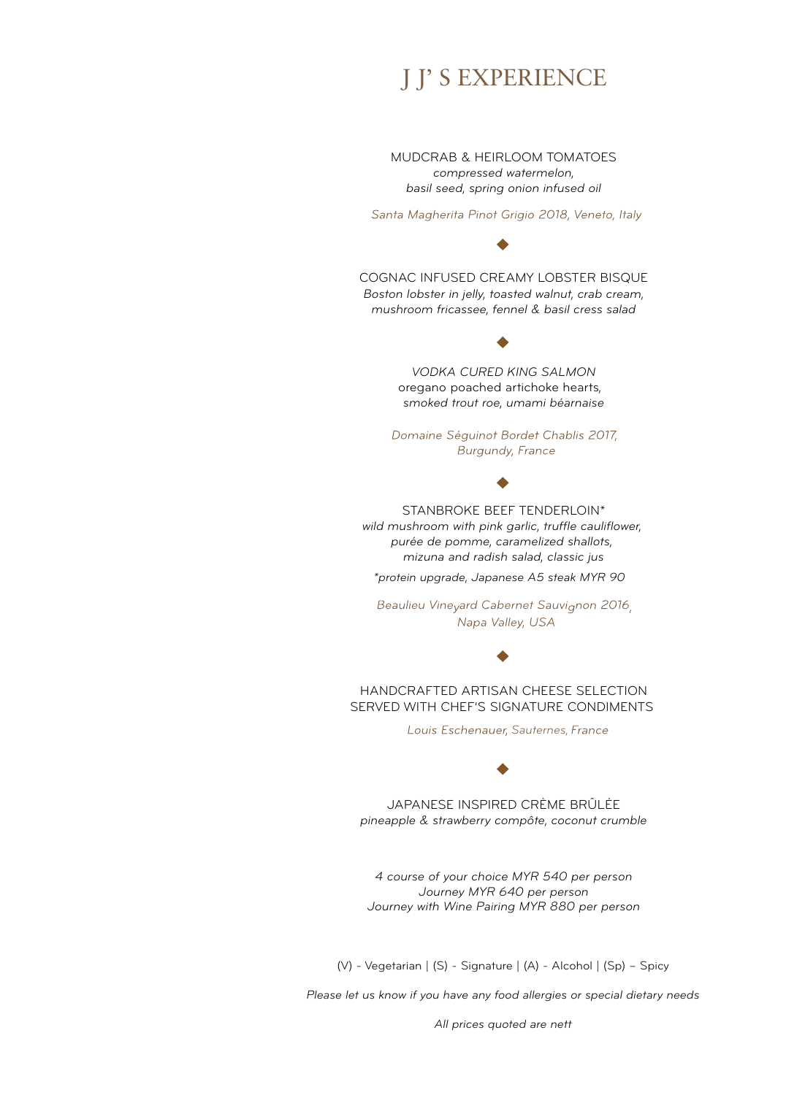# J J' S EXPERIENCE

*compressed watermelon, basil seed, spring onion infused oil* MUDCRAB & HEIRLOOM TOMATOES

Santa Magherita Pinot Grigio 2018, Veneto, Italy

*Boston lobster in jelly, toasted walnut, crab cream, mushroom fricassee, fennel & basil cress salad* COGNAC INFUSED CREAMY LOBSTER BISQUE

> oregano poached artichoke hearts*, smoked trout roe, umami béarnaise VODKA CURED KING SALMON*

Domaine Séguinot Bordet Chablis 2017, **Burgundy, France** 

*wild mushroom with pink garlic, truffle cauliflower, purée de pomme, caramelized shallots, mizuna and radish salad, classic jus* STANBROKE BEEF TENDERLOIN\*

*\*protein upgrade, Japanese A5 steak MYR 90*

Beaulieu Vineyard Cabernet Sauvignon 2016, Napa Valley, USA



HANDCRAFTED ARTISAN CHEESE SELECTION SERVED WITH CHEF'S SIGNATURE CONDIMENTS

Louis Eschenauer, Sauternes, France

*pineapple & strawberry compôte, coconut crumble* JAPANESE INSPIRED CRÈME BRÛLÉE

*4 course of your choice MYR 540 per person Journey MYR 640 per person Journey with Wine Pairing MYR 880 per person*

(V) - Vegetarian | (S) - Signature | (A) - Alcohol | (Sp) – Spicy

*Please let us know if you have any food allergies or special dietary needs*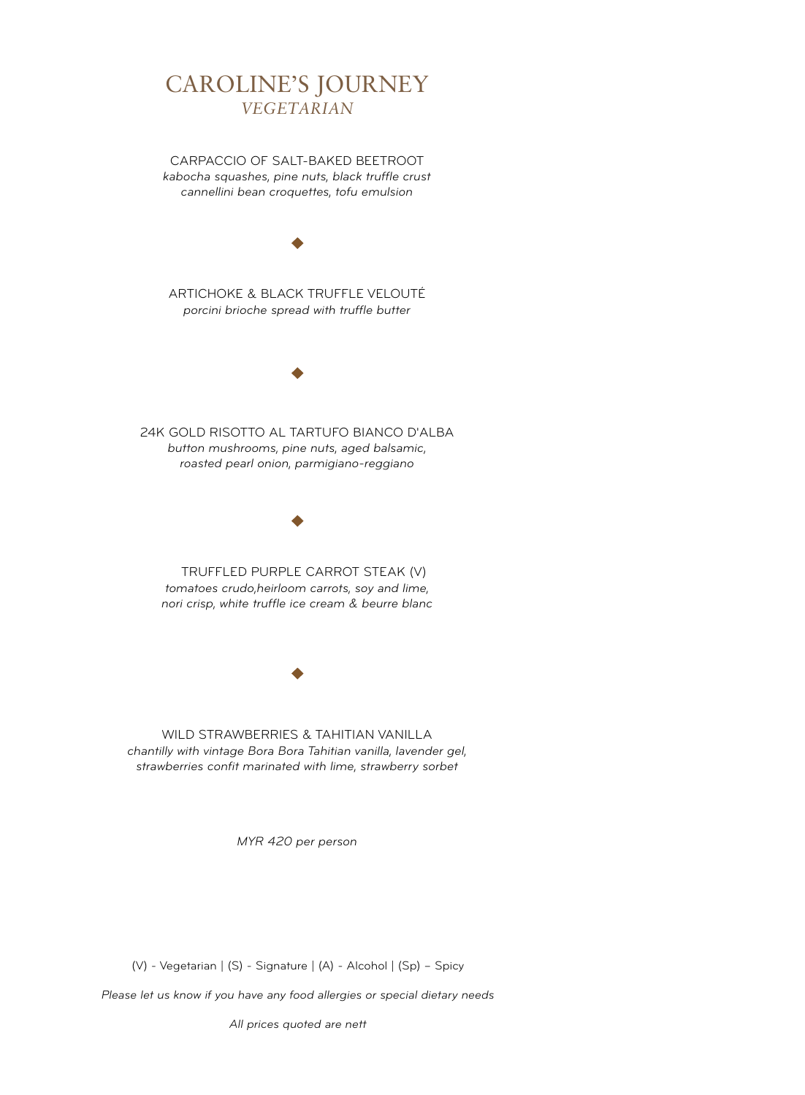## CAROLINE'S JOURNEY *VEGETARIAN*

*kabocha squashes, pine nuts, black truffle crust cannellini bean croquettes, tofu emulsion* CARPACCIO OF SALT-BAKED BEETROOT



*tomatoes crudo,heirloom carrots, soy and lime, nori crisp, white truffle ice cream & beurre blanc* TRUFFLED PURPLE CARROT STEAK (V)

*chantilly with vintage Bora Bora Tahitian vanilla, lavender gel, strawberries confit marinated with lime, strawberry sorbet* WILD STRAWBERRIES & TAHITIAN VANILLA

*MYR 420 per person*

(V) - Vegetarian | (S) - Signature | (A) - Alcohol | (Sp) – Spicy

*Please let us know if you have any food allergies or special dietary needs*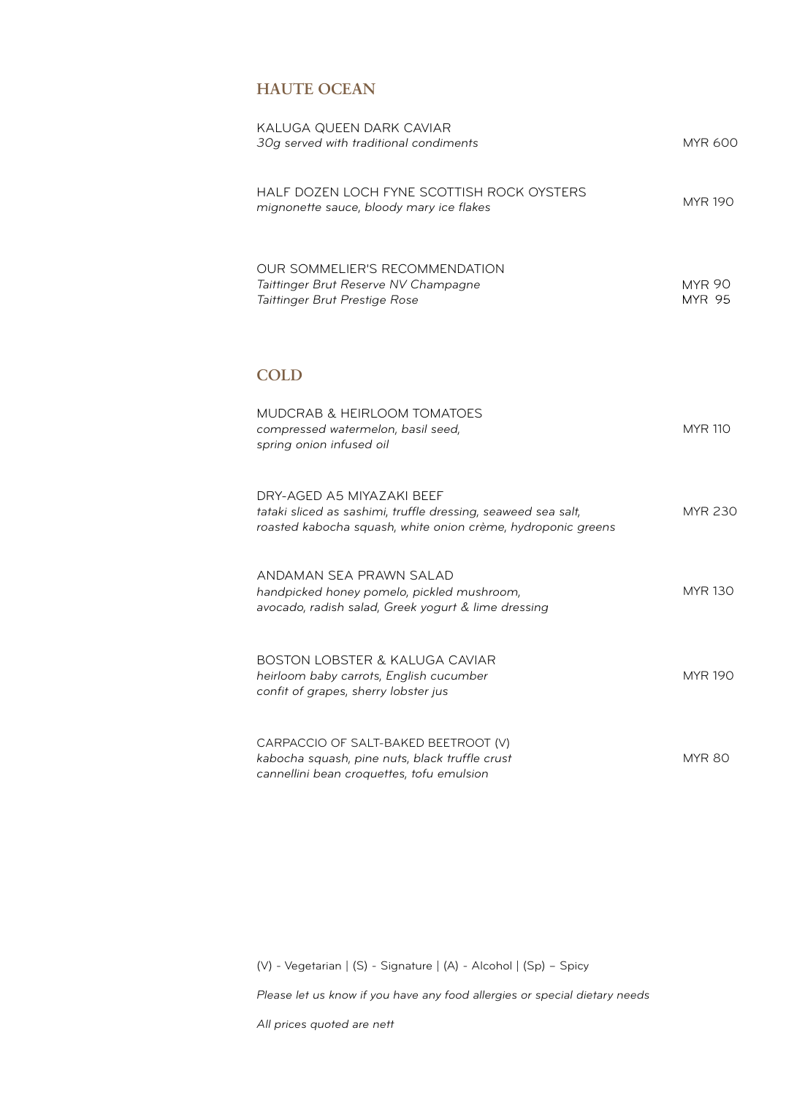### **HAUTE OCEAN**

| KALUGA QUEEN DARK CAVIAR<br>30g served with traditional condiments                                                                                         | <b>MYR 600</b>                 |
|------------------------------------------------------------------------------------------------------------------------------------------------------------|--------------------------------|
| HALF DOZEN LOCH FYNE SCOTTISH ROCK OYSTERS<br>mignonette sauce, bloody mary ice flakes                                                                     | <b>MYR 190</b>                 |
| OUR SOMMELIER'S RECOMMENDATION<br>Taittinger Brut Reserve NV Champagne<br>Taittinger Brut Prestige Rose                                                    | <b>MYR 90</b><br><b>MYR 95</b> |
| <b>COLD</b>                                                                                                                                                |                                |
| <b>MUDCRAB &amp; HEIRLOOM TOMATOES</b><br>compressed watermelon, basil seed,<br>spring onion infused oil                                                   | <b>MYR 110</b>                 |
| DRY-AGED A5 MIYAZAKI BEEF<br>tataki sliced as sashimi, truffle dressing, seaweed sea salt,<br>roasted kabocha squash, white onion crème, hydroponic greens | <b>MYR 230</b>                 |
| ANDAMAN SEA PRAWN SALAD<br>handpicked honey pomelo, pickled mushroom,<br>avocado, radish salad, Greek yogurt & lime dressing                               | <b>MYR 130</b>                 |
| <b>BOSTON LOBSTER &amp; KALUGA CAVIAR</b><br>heirloom baby carrots, English cucumber<br>confit of grapes, sherry lobster jus                               | <b>MYR 190</b>                 |
| CARPACCIO OF SALT-BAKED BEETROOT (V)<br>kabocha squash, pine nuts, black truffle crust<br>cannellini bean croquettes, tofu emulsion                        | <b>MYR 80</b>                  |

(V) - Vegetarian | (S) - Signature | (A) - Alcohol | (Sp) – Spicy

*Please let us know if you have any food allergies or special dietary needs*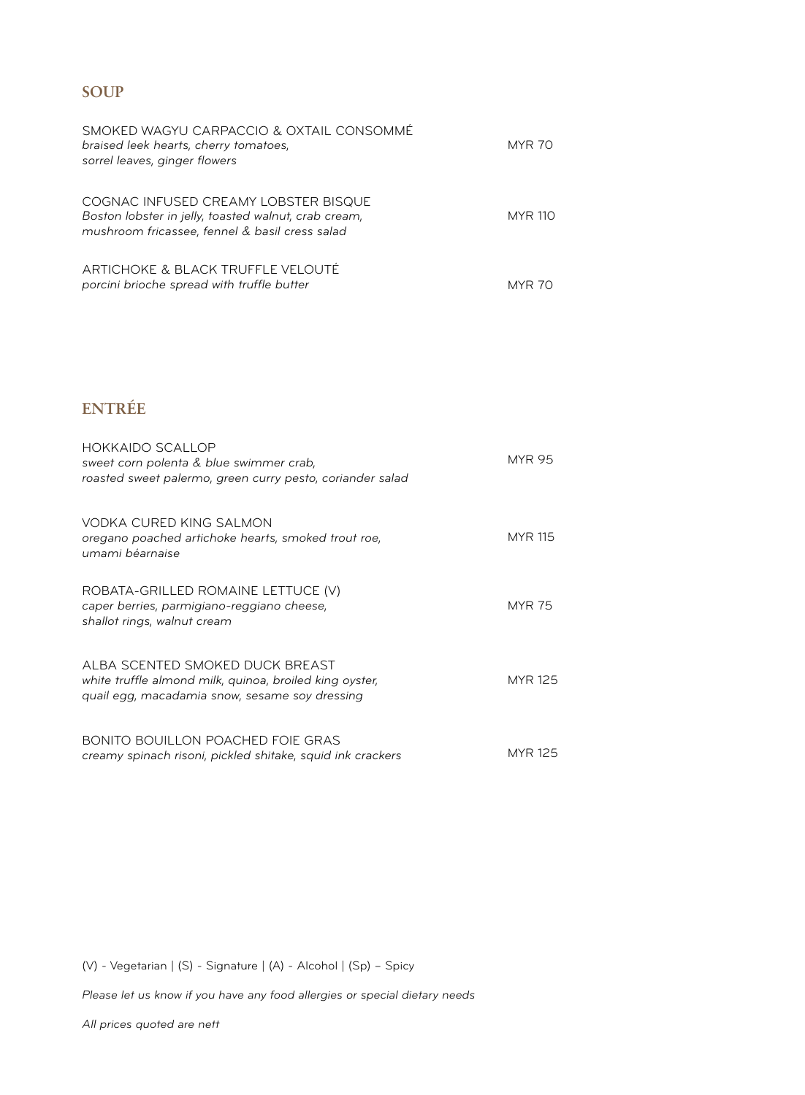### **SOUP**

| SMOKED WAGYU CARPACCIO & OXTAIL CONSOMMÉ<br>braised leek hearts, cherry tomatoes,<br>sorrel leaves, ginger flowers                             | <b>MYR 70</b>  |
|------------------------------------------------------------------------------------------------------------------------------------------------|----------------|
| COGNAC INFUSED CREAMY LOBSTER BISQUE<br>Boston lobster in jelly, toasted walnut, crab cream,<br>mushroom fricassee, fennel & basil cress salad | <b>MYR 110</b> |
| ARTICHOKE & BLACK TRUFFLE VELOUTÉ<br>porcini brioche spread with truffle butter                                                                | MYR            |

## **ENTRÉE**

| <b>HOKKAIDO SCALLOP</b><br>sweet corn polenta & blue swimmer crab,<br>roasted sweet palermo, green curry pesto, coriander salad              | <b>MYR 95</b>  |
|----------------------------------------------------------------------------------------------------------------------------------------------|----------------|
| <b>VODKA CURED KING SALMON</b><br>oregano poached artichoke hearts, smoked trout roe,<br>umami béarnaise                                     | <b>MYR 115</b> |
| ROBATA-GRILLED ROMAINE LETTUCE (V)<br>caper berries, parmigiano-reggiano cheese,<br>shallot rings, walnut cream                              | <b>MYR 75</b>  |
| ALBA SCENTED SMOKED DUCK BREAST<br>white truffle almond milk, quinoa, broiled king oyster,<br>quail egg, macadamia snow, sesame soy dressing | <b>MYR 125</b> |
| <b>BONITO BOUILLON POACHED FOIE GRAS</b><br>creamy spinach risoni, pickled shitake, squid ink crackers                                       | MYR 125        |

(V) - Vegetarian | (S) - Signature | (A) - Alcohol | (Sp) – Spicy

*Please let us know if you have any food allergies or special dietary needs*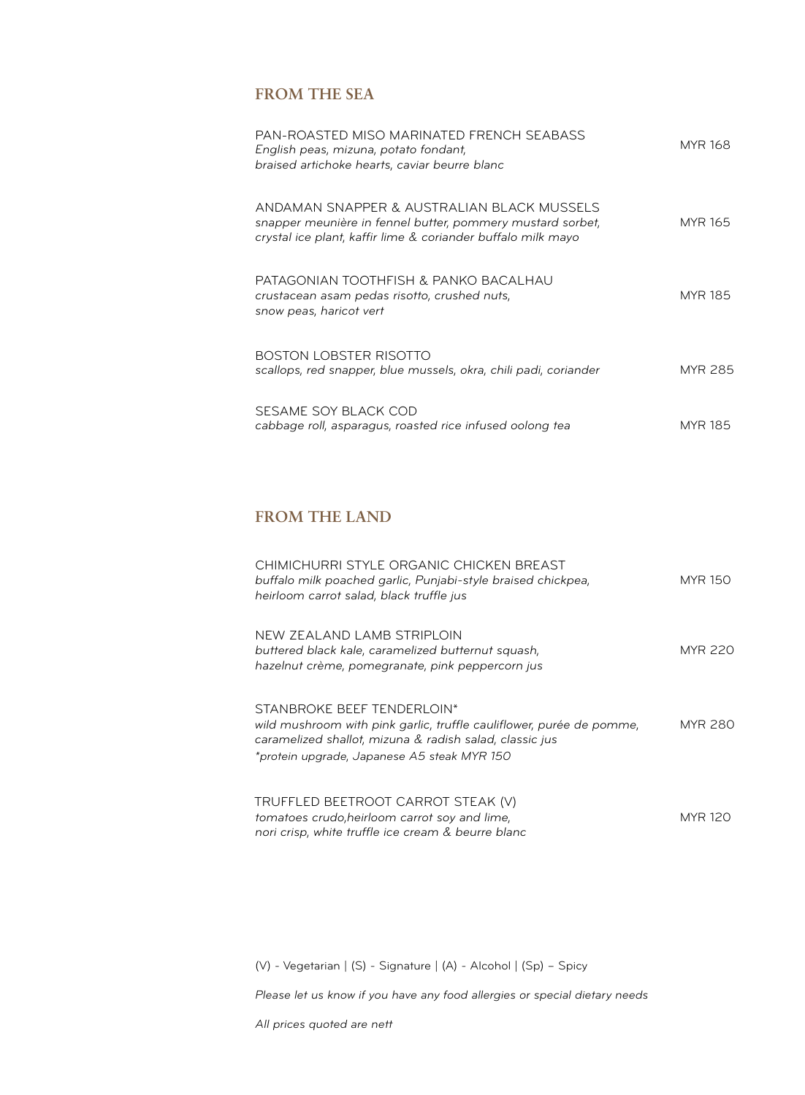#### **FROM THE SEA**

| PAN-ROASTED MISO MARINATED FRENCH SEABASS<br>English peas, mizuna, potato fondant,<br>braised artichoke hearts, caviar beurre blanc                                      | <b>MYR 168</b> |
|--------------------------------------------------------------------------------------------------------------------------------------------------------------------------|----------------|
| ANDAMAN SNAPPER & AUSTRALIAN BLACK MUSSELS<br>snapper meunière in fennel butter, pommery mustard sorbet,<br>crystal ice plant, kaffir lime & coriander buffalo milk mayo | <b>MYR 165</b> |
| PATAGONIAN TOOTHFISH & PANKO BACALHAU<br>crustacean asam pedas risotto, crushed nuts,<br>snow peas, haricot vert                                                         | <b>MYR 185</b> |
| <b>BOSTON LOBSTER RISOTTO</b><br>scallops, red snapper, blue mussels, okra, chili padi, coriander                                                                        | <b>MYR 285</b> |
| SESAME SOY BLACK COD<br>cabbage roll, asparagus, roasted rice infused oolong tea                                                                                         | <b>MYR 185</b> |

### **FROM THE LAND**

| CHIMICHURRI STYLE ORGANIC CHICKEN BREAST<br>buffalo milk poached garlic, Punjabi-style braised chickpea,<br>heirloom carrot salad, black truffle jus                                                         | <b>MYR 150</b> |
|--------------------------------------------------------------------------------------------------------------------------------------------------------------------------------------------------------------|----------------|
| NEW ZEALAND LAMB STRIPLOIN<br>buttered black kale, caramelized butternut squash,<br>hazelnut crème, pomegranate, pink peppercorn jus                                                                         | MYR 220        |
| STANBROKE BEEF TENDERLOIN*<br>wild mushroom with pink garlic, truffle cauliflower, purée de pomme,<br>caramelized shallot, mizuna & radish salad, classic jus<br>*protein upgrade, Japanese A5 steak MYR 150 | MYR 280        |
| TRUFFLED BEETROOT CARROT STEAK (V)<br>tomatoes crudo, heirloom carrot soy and lime,<br>nori crisp, white truffle ice cream & beurre blanc                                                                    | <b>MYR 120</b> |

(V) - Vegetarian | (S) - Signature | (A) - Alcohol | (Sp) – Spicy

*Please let us know if you have any food allergies or special dietary needs*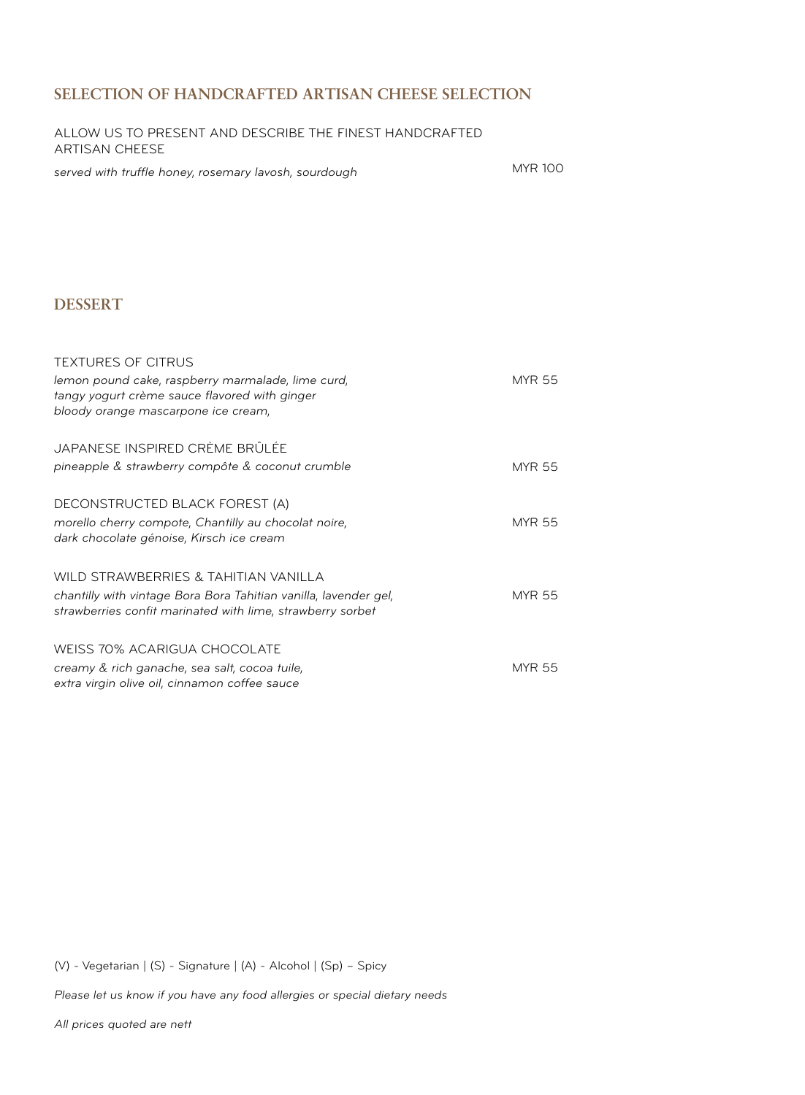#### **SELECTION OF HANDCRAFTED ARTISAN CHEESE SELECTION**

| ALLOW US TO PRESENT AND DESCRIBE THE FINEST HANDCRAFTED |  |
|---------------------------------------------------------|--|
| ARTISAN CHEESE                                          |  |

*served with truffle honey, rosemary lavosh, sourdough*

MYR 100

#### **DESSERT**

| <b>TEXTURES OF CITRUS</b><br>lemon pound cake, raspberry marmalade, lime curd,<br>tangy yogurt crème sauce flavored with ginger<br>bloody orange mascarpone ice cream, | <b>MYR 55</b> |
|------------------------------------------------------------------------------------------------------------------------------------------------------------------------|---------------|
| JAPANESE INSPIRED CRÈME BRÛLÉE<br>pineapple & strawberry compôte & coconut crumble                                                                                     | <b>MYR 55</b> |
| DECONSTRUCTED BLACK FOREST (A)<br>morello cherry compote, Chantilly au chocolat noire,<br>dark chocolate génoise, Kirsch ice cream                                     | <b>MYR 55</b> |
| WILD STRAWBERRIES & TAHITIAN VANILLA<br>chantilly with vintage Bora Bora Tahitian vanilla, lavender gel,<br>strawberries confit marinated with lime, strawberry sorbet | <b>MYR 55</b> |
| <b>WEISS 70% ACARIGUA CHOCOLATE</b><br>creamy & rich ganache, sea salt, cocoa tuile,<br>extra virgin olive oil, cinnamon coffee sauce                                  | <b>MYR 55</b> |

(V) - Vegetarian | (S) - Signature | (A) - Alcohol | (Sp) – Spicy

*Please let us know if you have any food allergies or special dietary needs*